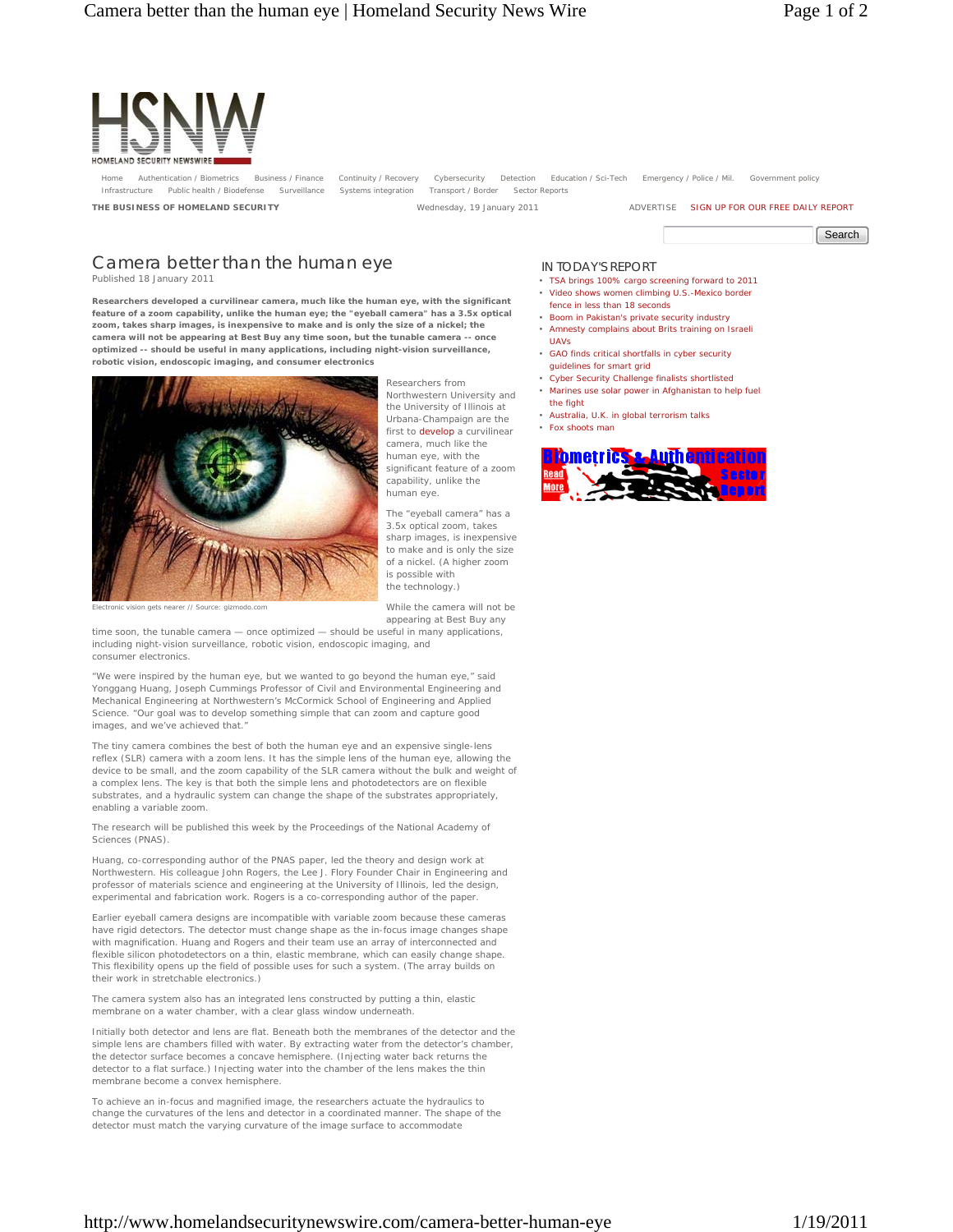

Authentication / Biometrics Business / Finance Continuity / Recovery Cybersecurity Detection Education / Sci-Tech Emergency / Police / Mil. Government policy Infrastructure Public health / Biodefense Surveillance Systems integration Transport / Border Sector Reports

**THE BUSINESS OF HOMELAND SECURITY** Wednesday, 19 January 2011 **ADVERTISE SIGN UP FOR OUR FREE DAILY REPORT** 

Search

## Camera better than the human eye Published 18 January 2011

**Researchers developed a curvilinear camera, much like the human eye, with the significant feature of a zoom capability, unlike the human eye; the "eyeball camera" has a 3.5x optical zoom, takes sharp images, is inexpensive to make and is only the size of a nickel; the camera will not be appearing at Best Buy any time soon, but the tunable camera -- once optimized -- should be useful in many applications, including night-vision surveillance, robotic vision, endoscopic imaging, and consumer electronics**



Researchers from Northwestern University and the University of Illinois at Urbana-Champaign are the first to develop a curvilinear camera, much like the human eye, with the significant feature of a zoom capability, unlike the human eye.

The "eyeball camera" has a 3.5x optical zoom, takes sharp images, is inexpensive to make and is only the size of a nickel. (A higher zoom is possible with the technology.)

While the camera will not be

Electronic vision gets nearer // Source: gizmodo.com

appearing at Best Buy any time soon, the tunable camera — once optimized — should be useful in many applications, including night-vision surveillance, robotic vision, endoscopic imaging, and consumer electronics.

"We were inspired by the human eye, but we wanted to go beyond the human eye," said Yonggang Huang, Joseph Cummings Professor of Civil and Environmental Engineering and Mechanical Engineering at Northwestern's McCormick School of Engineering and Applied Science. "Our goal was to develop something simple that can zoom and capture good images, and we've achieved that."

The tiny camera combines the best of both the human eye and an expensive single-lens reflex (SLR) camera with a zoom lens. It has the simple lens of the human eye, allowing the device to be small, and the zoom capability of the SLR camera without the bulk and weight of a complex lens. The key is that both the simple lens and photodetectors are on flexible substrates, and a hydraulic system can change the shape of the substrates appropriately, enabling a variable zoom.

The research will be published this week by the Proceedings of the National Academy of Sciences (PNAS).

Huang, co-corresponding author of the PNAS paper, led the theory and design work at Northwestern. His colleague John Rogers, the Lee J. Flory Founder Chair in Engineering and professor of materials science and engineering at the University of Illinois, led the design, experimental and fabrication work. Rogers is a co-corresponding author of the paper.

Earlier eyeball camera designs are incompatible with variable zoom because these cameras have rigid detectors. The detector must change shape as the in-focus image changes shape with magnification. Huang and Rogers and their team use an array of interconnected and flexible silicon photodetectors on a thin, elastic membrane, which can easily change shape. This flexibility opens up the field of possible uses for such a system. (The array builds on their work in stretchable electronics.)

The camera system also has an integrated lens constructed by putting a thin, elastic membrane on a water chamber, with a clear glass window underneath.

Initially both detector and lens are flat. Beneath both the membranes of the detector and the simple lens are chambers filled with water. By extracting water from the detector's chamber, the detector surface becomes a concave hemisphere. (Injecting water back returns the detector to a flat surface.) Injecting water into the chamber of the lens makes the thin membrane become a convex hemisphere.

To achieve an in-focus and magnified image, the researchers actuate the hydraulics to change the curvatures of the lens and detector in a coordinated manner. The shape of the detector must match the varying curvature of the image surface to accommodate

## IN TODAY'S REPORT

- TSA brings 100% cargo screening forward to 2011 • Video shows women climbing U.S.-Mexico border
- fence in less than 18 seconds
- Boom in Pakistan's private security industry
- Amnesty complains about Brits training on Israeli UAVs
- GAO finds critical shortfalls in cyber security guidelines for smart grid
- Cyber Security Challenge finalists shortlisted
- Marines use solar power in Afghanistan to help fuel the fight
- Australia, U.K. in global terrorism talks
- Fox shoots man